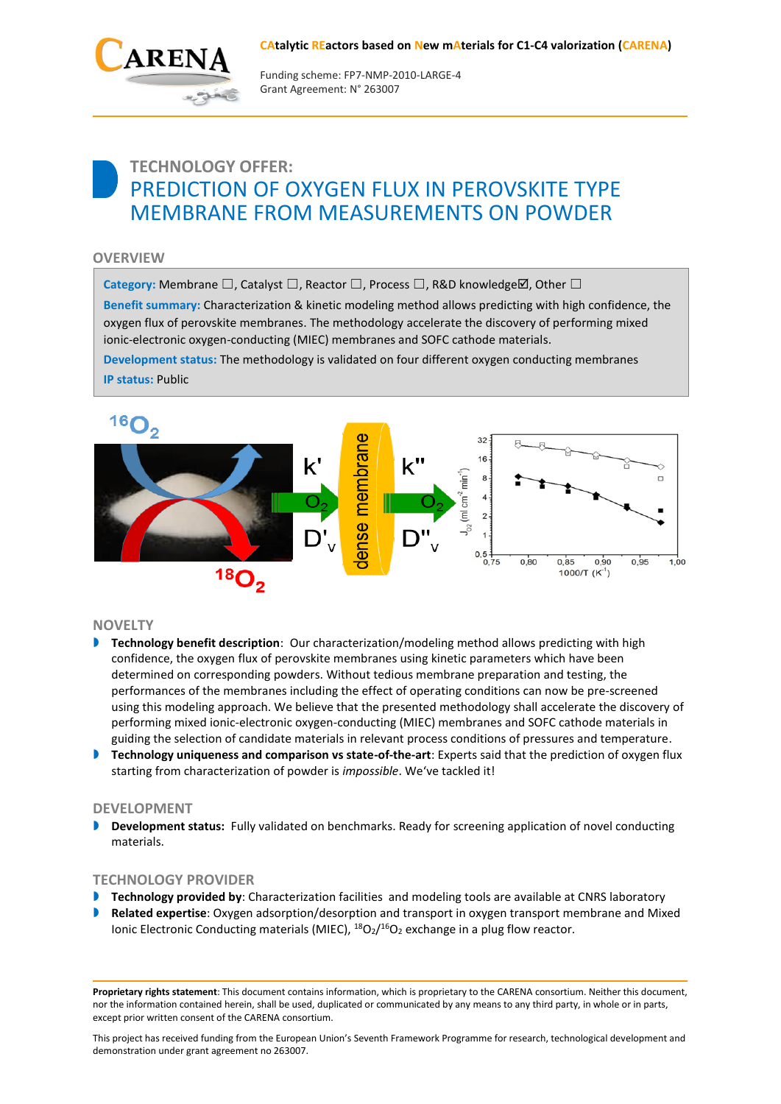#### **CAtalytic REactors based on New mAterials for C1-C4 valorization (CARENA)**



Funding scheme: FP7‐NMP‐2010‐LARGE‐4 Grant Agreement: N° 263007

# **TECHNOLOGY OFFER:** PREDICTION OF OXYGEN FLUX IN PEROVSKITE TYPE MEMBRANE FROM MEASUREMENTS ON POWDER

## **OVERVIEW**

Category: Membrane  $\square$ , Catalyst  $\square$ , Reactor  $\square$ , Process  $\square$ , R&D knowledge $\boxtimes$ , Other  $\square$ 

**Benefit summary:** Characterization & kinetic modeling method allows predicting with high confidence, the oxygen flux of perovskite membranes. The methodology accelerate the discovery of performing mixed ionic-electronic oxygen-conducting (MIEC) membranes and SOFC cathode materials.

**Development status:** The methodology is validated on four different oxygen conducting membranes **IP status:** Public



#### **NOVELTY**

- **Technology benefit description**: Our characterization/modeling method allows predicting with high confidence, the oxygen flux of perovskite membranes using kinetic parameters which have been determined on corresponding powders. Without tedious membrane preparation and testing, the performances of the membranes including the effect of operating conditions can now be pre-screened using this modeling approach. We believe that the presented methodology shall accelerate the discovery of performing mixed ionic-electronic oxygen-conducting (MIEC) membranes and SOFC cathode materials in guiding the selection of candidate materials in relevant process conditions of pressures and temperature.
- **Technology uniqueness and comparison vs state-of-the-art**: Experts said that the prediction of oxygen flux starting from characterization of powder is *impossible*. We've tackled it!

#### **DEVELOPMENT**

 **Development status:** Fully validated on benchmarks. Ready for screening application of novel conducting materials.

#### **TECHNOLOGY PROVIDER**

- **Technology provided by**: Characterization facilities and modeling tools are available at CNRS laboratory
- **Related expertise**: Oxygen adsorption/desorption and transport in oxygen transport membrane and Mixed Ionic Electronic Conducting materials (MIEC), <sup>18</sup>O<sub>2</sub>/<sup>16</sup>O<sub>2</sub> exchange in a plug flow reactor.

**Proprietary rights statement**: This document contains information, which is proprietary to the CARENA consortium. Neither this document, nor the information contained herein, shall be used, duplicated or communicated by any means to any third party, in whole or in parts, except prior written consent of the CARENA consortium.

This project has received funding from the European Union's Seventh Framework Programme for research, technological development and demonstration under grant agreement no 263007.